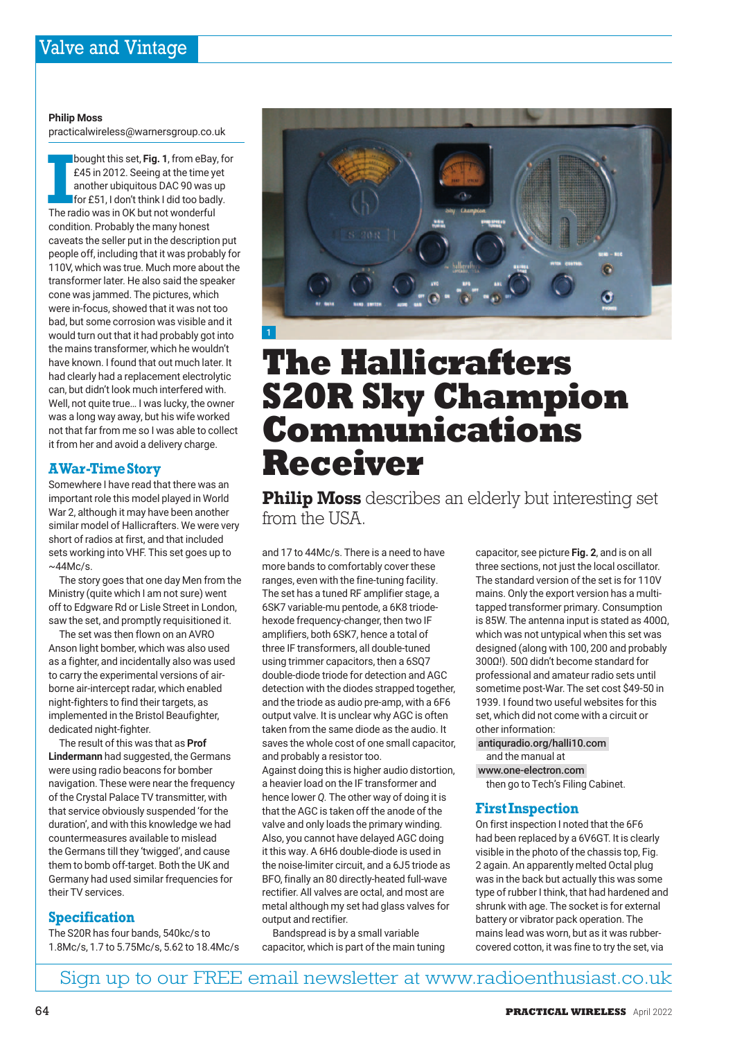#### **Philip Moss**

practicalwireless@warnersgroup.co.uk

**I**bought this set, **Fig. 1**, from eBay, for<br> **E45** in 2012. Seeing at the time yet<br>
another ubiquitous DAC 90 was up<br>
for £51, I don't think I did too badly.<br>
The radio was in OK but not wonderful £45 in 2012. Seeing at the time yet another ubiquitous DAC 90 was up for £51, I don't think I did too badly. condition. Probably the many honest caveats the seller put in the description put people off, including that it was probably for 110V, which was true. Much more about the transformer later. He also said the speaker cone was jammed. The pictures, which were in-focus, showed that it was not too bad, but some corrosion was visible and it would turn out that it had probably got into the mains transformer, which he wouldn't have known. I found that out much later. It had clearly had a replacement electrolytic can, but didn't look much interfered with. Well, not quite true… I was lucky, the owner was a long way away, but his wife worked not that far from me so I was able to collect it from her and avoid a delivery charge.

# **A War-Time Story**

Somewhere I have read that there was an important role this model played in World War 2, although it may have been another similar model of Hallicrafters. We were very short of radios at first, and that included sets working into VHF. This set goes up to  $~\sim$ 44Mc/s.

The story goes that one day Men from the Ministry (quite which I am not sure) went off to Edgware Rd or Lisle Street in London, saw the set, and promptly requisitioned it.

The set was then flown on an AVRO Anson light bomber, which was also used as a fighter, and incidentally also was used to carry the experimental versions of airborne air-intercept radar, which enabled night-fighters to find their targets, as implemented in the Bristol Beaufighter, dedicated night-fighter.

The result of this was that as **Prof Lindermann** had suggested, the Germans were using radio beacons for bomber navigation. These were near the frequency of the Crystal Palace TV transmitter, with that service obviously suspended 'for the duration', and with this knowledge we had countermeasures available to mislead the Germans till they 'twigged', and cause them to bomb off-target. Both the UK and Germany had used similar frequencies for their TV services.

# **Specification**

The S20R has four bands, 540kc/s to 1.8Mc/s, 1.7 to 5.75Mc/s, 5.62 to 18.4Mc/s



# **The Hallicrafters S20R Sky Champion Communications Receiver**

**Philip Moss** describes an elderly but interesting set from the USA.

and 17 to 44Mc/s. There is a need to have more bands to comfortably cover these ranges, even with the fine-tuning facility. The set has a tuned RF amplifier stage, a 6SK7 variable-mu pentode, a 6K8 triodehexode frequency-changer, then two IF amplifiers, both 6SK7, hence a total of three IF transformers, all double-tuned using trimmer capacitors, then a 6SQ7 double-diode triode for detection and AGC detection with the diodes strapped together, and the triode as audio pre-amp, with a 6F6 output valve. It is unclear why AGC is often taken from the same diode as the audio. It saves the whole cost of one small capacitor, and probably a resistor too.

Against doing this is higher audio distortion, a heavier load on the IF transformer and hence lower *Q.* The other way of doing it is that the AGC is taken off the anode of the valve and only loads the primary winding. Also, you cannot have delayed AGC doing it this way. A 6H6 double-diode is used in the noise-limiter circuit, and a 6J5 triode as BFO, finally an 80 directly-heated full-wave rectifier. All valves are octal, and most are metal although my set had glass valves for output and rectifier.

Bandspread is by a small variable capacitor, which is part of the main tuning capacitor, see picture **Fig. 2**, and is on all three sections, not just the local oscillator. The standard version of the set is for 110V mains. Only the export version has a multitapped transformer primary. Consumption is 85W. The antenna input is stated as 400Ω, which was not untypical when this set was designed (along with 100, 200 and probably 300Ω!). 50Ω didn't become standard for professional and amateur radio sets until sometime post-War. The set cost \$49-50 in 1939. I found two useful websites for this set, which did not come with a circuit or other information:

#### antiquradio.org/halli10.com and the manual at

www.one-electron.com

then go to Tech's Filing Cabinet.

# **First Inspection**

On first inspection I noted that the 6F6 had been replaced by a 6V6GT. It is clearly visible in the photo of the chassis top, Fig. 2 again. An apparently melted Octal plug was in the back but actually this was some type of rubber I think, that had hardened and shrunk with age. The socket is for external battery or vibrator pack operation. The mains lead was worn, but as it was rubbercovered cotton, it was fine to try the set, via

# Sign up to our FREE email newsletter at www.radioenthusiast.co.uk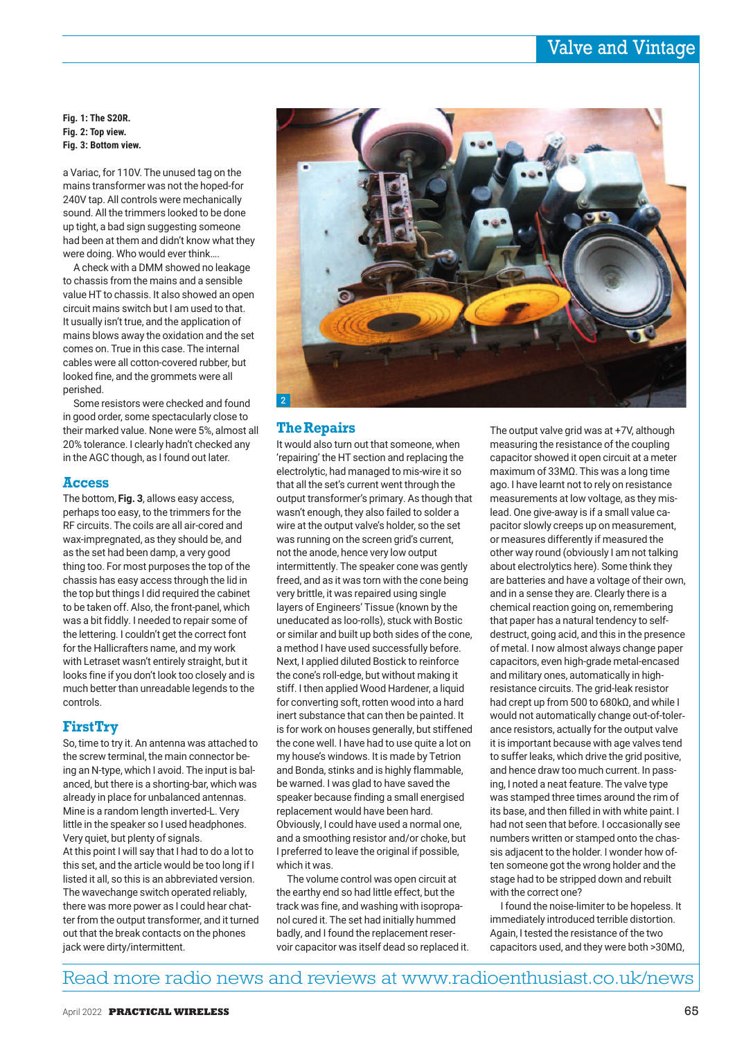# Valve and Vintage

**Fig. 1: The S20R. Fig. 2: Top view. Fig. 3: Bottom view.**

a Variac, for 110V. The unused tag on the mains transformer was not the hoped-for 240V tap. All controls were mechanically sound. All the trimmers looked to be done up tight, a bad sign suggesting someone had been at them and didn't know what they were doing. Who would ever think….

A check with a DMM showed no leakage to chassis from the mains and a sensible value HT to chassis. It also showed an open circuit mains switch but I am used to that. It usually isn't true, and the application of mains blows away the oxidation and the set comes on. True in this case. The internal cables were all cotton-covered rubber, but looked fine, and the grommets were all perished.

Some resistors were checked and found in good order, some spectacularly close to their marked value. None were 5%, almost all 20% tolerance. I clearly hadn't checked any in the AGC though, as I found out later.

#### **Access**

The bottom, **Fig. 3**, allows easy access, perhaps too easy, to the trimmers for the RF circuits. The coils are all air-cored and wax-impregnated, as they should be, and as the set had been damp, a very good thing too. For most purposes the top of the chassis has easy access through the lid in the top but things I did required the cabinet to be taken off. Also, the front-panel, which was a bit fiddly. I needed to repair some of the lettering. I couldn't get the correct font for the Hallicrafters name, and my work with Letraset wasn't entirely straight, but it looks fine if you don't look too closely and is much better than unreadable legends to the controls.

### **First Try**

So, time to try it. An antenna was attached to the screw terminal, the main connector being an N-type, which I avoid. The input is balanced, but there is a shorting-bar, which was already in place for unbalanced antennas. Mine is a random length inverted-L. Very little in the speaker so I used headphones. Very quiet, but plenty of signals. At this point I will say that I had to do a lot to this set, and the article would be too long if I listed it all, so this is an abbreviated version. The wavechange switch operated reliably, there was more power as I could hear chatter from the output transformer, and it turned out that the break contacts on the phones jack were dirty/intermittent.



### **The Repairs**

It would also turn out that someone, when 'repairing' the HT section and replacing the electrolytic, had managed to mis-wire it so that all the set's current went through the output transformer's primary. As though that wasn't enough, they also failed to solder a wire at the output valve's holder, so the set was running on the screen grid's current, not the anode, hence very low output intermittently. The speaker cone was gently freed, and as it was torn with the cone being very brittle, it was repaired using single layers of Engineers' Tissue (known by the uneducated as loo-rolls), stuck with Bostic or similar and built up both sides of the cone, a method I have used successfully before. Next, I applied diluted Bostick to reinforce the cone's roll-edge, but without making it stiff. I then applied Wood Hardener, a liquid for converting soft, rotten wood into a hard inert substance that can then be painted. It is for work on houses generally, but stiffened the cone well. I have had to use quite a lot on my house's windows. It is made by Tetrion and Bonda, stinks and is highly flammable, be warned. I was glad to have saved the speaker because finding a small energised replacement would have been hard. Obviously, I could have used a normal one, and a smoothing resistor and/or choke, but I preferred to leave the original if possible, which it was.

The volume control was open circuit at the earthy end so had little effect, but the track was fine, and washing with isopropanol cured it. The set had initially hummed badly, and I found the replacement reservoir capacitor was itself dead so replaced it. The output valve grid was at +7V, although measuring the resistance of the coupling capacitor showed it open circuit at a meter maximum of 33MΩ. This was a long time ago. I have learnt not to rely on resistance measurements at low voltage, as they mislead. One give-away is if a small value capacitor slowly creeps up on measurement, or measures differently if measured the other way round (obviously I am not talking about electrolytics here). Some think they are batteries and have a voltage of their own, and in a sense they are. Clearly there is a chemical reaction going on, remembering that paper has a natural tendency to selfdestruct, going acid, and this in the presence of metal. I now almost always change paper capacitors, even high-grade metal-encased and military ones, automatically in highresistance circuits. The grid-leak resistor had crept up from 500 to 680kΩ, and while I would not automatically change out-of-tolerance resistors, actually for the output valve it is important because with age valves tend to suffer leaks, which drive the grid positive, and hence draw too much current. In passing, I noted a neat feature. The valve type was stamped three times around the rim of its base, and then filled in with white paint. I had not seen that before. I occasionally see numbers written or stamped onto the chassis adjacent to the holder. I wonder how often someone got the wrong holder and the stage had to be stripped down and rebuilt with the correct one?

I found the noise-limiter to be hopeless. It immediately introduced terrible distortion. Again, I tested the resistance of the two capacitors used, and they were both >30MΩ,

# Read more radio news and reviews at www.radioenthusiast.co.uk/news